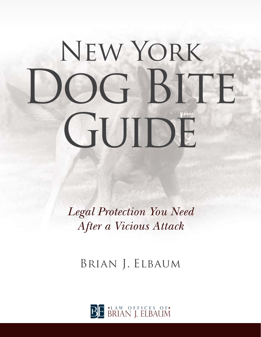# New York OG BITE GUIDE

*Legal Protection You Need After a Vicious Attack*

Brian J. Elbaum

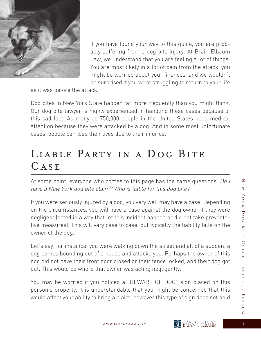

If you have found your way to this guide, you are probably suffering from a dog bite injury. At Brain Elbaum Law, we understand that you are feeling a lot of things. You are most likely in a lot of pain from the attack, you might be worried about your finances, and we wouldn't be surprised if you were struggling to return to your life

as it was before the attack.

Dog bites in New York State happen far more frequently than you might think. Our dog bite lawyer is highly experienced in handling these cases because of this sad fact. As many as 750,000 people in the United States need medical attention because they were attacked by a dog. And in some most unfortunate cases, people can lose their lives due to their injuries.

# LIABLE PARTY IN A DOG BITE CASE

At some point, everyone who comes to this page has the same questions. Do I have a New York dog bite claim? Who is liable for this dog bite?

If you were seriously injured by a dog, you very well may have a case. Depending on the circumstances, you will have a case against the dog owner if they were negligent (acted in a way that let this incident happen or did not take preventative measures). This will vary case to case, but typically the liability falls on the owner of the dog.

Let's say, for instance, you were walking down the street and all of a sudden, a dog comes bounding out of a house and attacks you. Perhaps the owner of this dog did not have their front door closed or their fence locked, and their dog got out. This would be where that owner was acting negligently.

You may be worried if you noticed a "BEWARE OF DOG" sign placed on this person's property. It is understandable that you might be concerned that this would affect your ability to bring a claim, however this type of sign does not hold

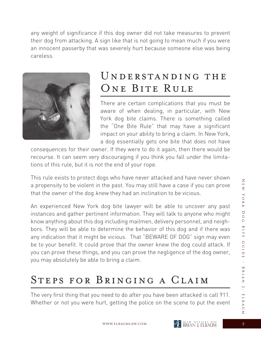any weight of significance if this dog owner did not take measures to prevent their dog from attacking. A sign like that is not going to mean much if you were an innocent passerby that was severely hurt because someone else was being careless.



## UNDERSTANDING THE ONE BITE RULE

There are certain complications that you must be aware of when dealing, in particular, with New York dog bite claims. There is something called the "One Bite Rule" that may have a significant impact on your ability to bring a claim. In New York, a dog essentially gets one bite that does not have

consequences for their owner. If they were to do it again, then there would be recourse. It can seem very discouraging if you think you fall under the limitations of this rule, but it is not the end of your rope.

This rule exists to protect dogs who have never attacked and have never shown a propensity to be violent in the past. You may still have a case if you can prove that the owner of the dog knew they had an inclination to be vicious.

An experienced New York dog bite lawyer will be able to uncover any past instances and gather pertinent information. They will talk to anyone who might know anything about this dog including mailmen, delivery personnel, and neighbors. They will be able to determine the behavior of this dog and if there was any indication that it might be vicious. That "BEWARE OF DOG" sign may even be to your benefit. It could prove that the owner knew the dog could attack. If you can prove these things, and you can prove the negligence of the dog owner, you may absolutely be able to bring a claim.

## Steps for Bringing a Claim

The very first thing that you need to do after you have been attacked is call 911. Whether or not you were hurt, getting the police on the scene to put the event Ζ

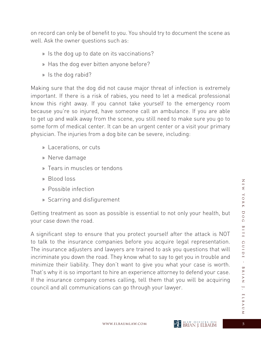on record can only be of benefit to you. You should try to document the scene as well. Ask the owner questions such as:

- » Is the dog up to date on its vaccinations?
- » Has the dog ever bitten anyone before?
- » Is the dog rabid?

Making sure that the dog did not cause major threat of infection is extremely important. If there is a risk of rabies, you need to let a medical professional know this right away. If you cannot take yourself to the emergency room because you're so injured, have someone call an ambulance. If you are able to get up and walk away from the scene, you still need to make sure you go to some form of medical center. It can be an urgent center or a visit your primary physician. The injuries from a dog bite can be severe, including:

- » Lacerations, or cuts
- » Nerve damage
- » Tears in muscles or tendons
- » Blood loss
- » Possible infection
- » Scarring and disfigurement

Getting treatment as soon as possible is essential to not only your health, but your case down the road.

A significant step to ensure that you protect yourself after the attack is NOT to talk to the insurance companies before you acquire legal representation. The insurance adjusters and lawyers are trained to ask you questions that will incriminate you down the road. They know what to say to get you in trouble and minimize their liability. They don't want to give you what your case is worth. That's why it is so important to hire an experience attorney to defend your case. If the insurance company comes calling, tell them that you will be acquiring council and all communications can go through your lawyer.

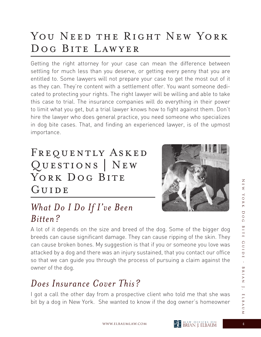# YOU NEED THE RIGHT NEW YORK Dog Bite Lawyer

Getting the right attorney for your case can mean the difference between settling for much less than you deserve, or getting every penny that you are entitled to. Some lawyers will not prepare your case to get the most out of it as they can. They're content with a settlement offer. You want someone dedicated to protecting your rights. The right lawyer will be willing and able to take this case to trial. The insurance companies will do everything in their power to limit what you get, but a trial lawyer knows how to fight against them. Don't hire the lawyer who does general practice, you need someone who specializes in dog bite cases. That, and finding an experienced lawyer, is of the upmost importance.

# FREQUENTLY ASKED Questions | New YORK DOG BITE GUIDE



### *What Do I Do If I've Been Bitten?*

A lot of it depends on the size and breed of the dog. Some of the bigger dog breeds can cause significant damage. They can cause ripping of the skin. They can cause broken bones. My suggestion is that if you or someone you love was attacked by a dog and there was an injury sustained, that you contact our office so that we can guide you through the process of pursuing a claim against the owner of the dog.

#### *Does Insurance Cover This?*

I got a call the other day from a prospective client who told me that she was bit by a dog in New York. She wanted to know if the dog owner's homeowner

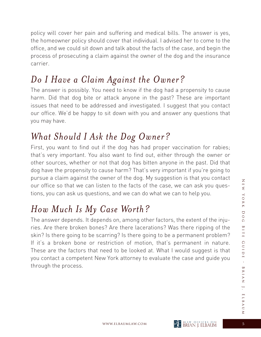policy will cover her pain and suffering and medical bills. The answer is yes, the homeowner policy should cover that individual. I advised her to come to the office, and we could sit down and talk about the facts of the case, and begin the process of prosecuting a claim against the owner of the dog and the insurance carrier.

#### *Do I Have a Claim Against the Owner?*

The answer is possibly. You need to know if the dog had a propensity to cause harm. Did that dog bite or attack anyone in the past? These are important issues that need to be addressed and investigated. I suggest that you contact our office. We'd be happy to sit down with you and answer any questions that you may have.

#### *What Should I Ask the Dog Owner?*

First, you want to find out if the dog has had proper vaccination for rabies; that's very important. You also want to find out, either through the owner or other sources, whether or not that dog has bitten anyone in the past. Did that dog have the propensity to cause harm? That's very important if you're going to pursue a claim against the owner of the dog. My suggestion is that you contact our office so that we can listen to the facts of the case, we can ask you questions, you can ask us questions, and we can do what we can to help you.

## *How Much Is My Case Worth?*

The answer depends. It depends on, among other factors, the extent of the injuries. Are there broken bones? Are there lacerations? Was there ripping of the skin? Is there going to be scarring? Is there going to be a permanent problem? If it's a broken bone or restriction of motion, that's permanent in nature. These are the factors that need to be looked at. What I would suggest is that you contact a competent New York attorney to evaluate the case and guide you through the process.

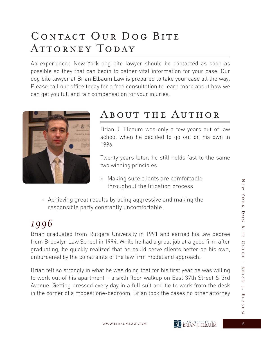# CONTACT OUR DOG BITE ATTORNEY TODAY

An experienced New York dog bite lawyer should be contacted as soon as possible so they that can begin to gather vital information for your case. Our dog bite lawyer at Brian Elbaum Law is prepared to take your case all the way. Please call our office today for a free consultation to learn more about how we can get you full and fair compensation for your injuries.



#### About the Author

Brian J. Elbaum was only a few years out of law school when he decided to go out on his own in 1996.

 Twenty years later, he still holds fast to the same two winning principles:

- » Making sure clients are comfortable throughout the litigation process.
- » Achieving great results by being aggressive and making the responsible party constantly uncomfortable.

## *1996*

Brian graduated from Rutgers University in 1991 and earned his law degree from Brooklyn Law School in 1994. While he had a great job at a good firm after graduating, he quickly realized that he could serve clients better on his own, unburdened by the constraints of the law firm model and approach.

Brian felt so strongly in what he was doing that for his first year he was willing to work out of his apartment – a sixth floor walkup on East 37th Street & 3rd Avenue. Getting dressed every day in a full suit and tie to work from the desk in the corner of a modest one-bedroom, Brian took the cases no other attorney

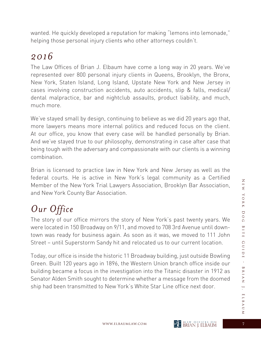wanted. He quickly developed a reputation for making "lemons into lemonade," helping those personal injury clients who other attorneys couldn't.

#### *2016*

The Law Offices of Brian J. Elbaum have come a long way in 20 years. We've represented over 800 personal injury clients in Queens, Brooklyn, the Bronx, New York, Staten Island, Long Island, Upstate New York and New Jersey in cases involving construction accidents, auto accidents, slip & falls, medical/ dental malpractice, bar and nightclub assaults, product liability, and much, much more.

We've stayed small by design, continuing to believe as we did 20 years ago that, more lawyers means more internal politics and reduced focus on the client. At our office, you know that every case will be handled personally by Brian. And we've stayed true to our philosophy, demonstrating in case after case that being tough with the adversary and compassionate with our clients is a winning combination.

Brian is licensed to practice law in New York and New Jersey as well as the federal courts. He is active in New York's legal community as a Certified Member of the New York Trial Lawyers Association, Brooklyn Bar Association, and New York County Bar Association.

# *Our Office*

The story of our office mirrors the story of New York's past twenty years. We were located in 150 Broadway on 9/11, and moved to 708 3rd Avenue until downtown was ready for business again. As soon as it was, we moved to 111 John Street – until Superstorm Sandy hit and relocated us to our current location.

Today, our office is inside the historic 11 Broadway building, just outside Bowling Green. Built 120 years ago in 1896, the Western Union branch office inside our building became a focus in the investigation into the Titanic disaster in 1912 as Senator Alden Smith sought to determine whether a message from the doomed ship had been transmitted to New York's White Star Line office next door.

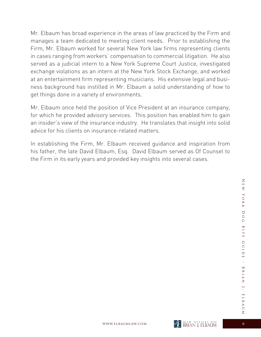Mr. Elbaum has broad experience in the areas of law practiced by the Firm and manages a team dedicated to meeting client needs. Prior to establishing the Firm, Mr. Elbaum worked for several New York law firms representing clients in cases ranging from workers' compensation to commercial litigation. He also served as a judicial intern to a New York Supreme Court Justice, investigated exchange violations as an intern at the New York Stock Exchange, and worked at an entertainment firm representing musicians. His extensive legal and business background has instilled in Mr. Elbaum a solid understanding of how to get things done in a variety of environments.

Mr. Elbaum once held the position of Vice President at an insurance company, for which he provided advisory services. This position has enabled him to gain an insider's view of the insurance industry. He translates that insight into solid advice for his clients on insurance-related matters.

In establishing the Firm, Mr. Elbaum received guidance and inspiration from his father, the late David Elbaum, Esq. David Elbaum served as Of Counsel to the Firm in its early years and provided key insights into several cases.